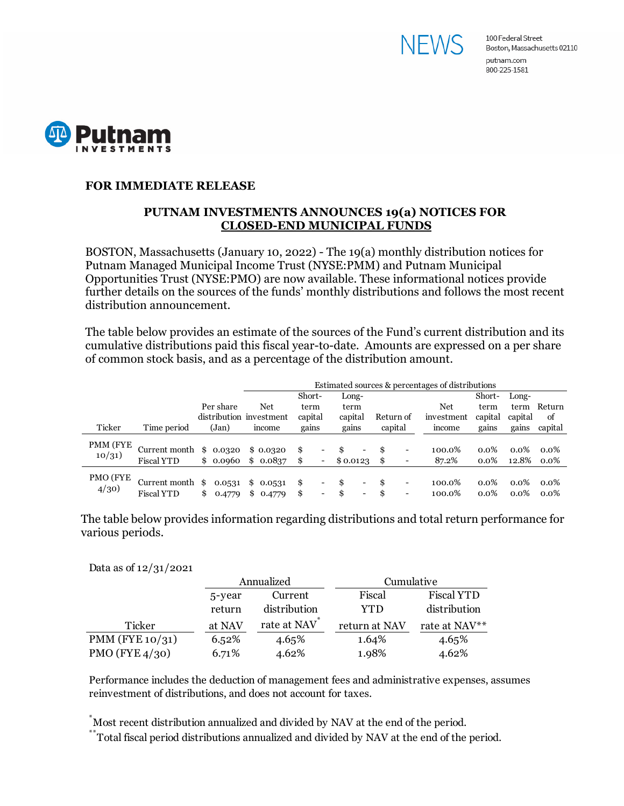



## **FOR IMMEDIATE RELEASE**

## **PUTNAM INVESTMENTS ANNOUNCES 19(a) NOTICES FOR CLOSED-END MUNICIPAL FUNDS**

BOSTON, Massachusetts (January 10, 2022) - The 19(a) monthly distribution notices for Putnam Managed Municipal Income Trust (NYSE:PMM) and Putnam Municipal Opportunities Trust (NYSE:PMO) are now available. These informational notices provide further details on the sources of the funds' monthly distributions and follows the most recent distribution announcement.

The table below provides an estimate of the sources of the Fund's current distribution and its cumulative distributions paid this fiscal year-to-date. Amounts are expressed on a per share of common stock basis, and as a percentage of the distribution amount.

|          |                         | Estimated sources & percentages of distributions |           |                         |         |                          |          |                          |      |           |            |         |         |         |
|----------|-------------------------|--------------------------------------------------|-----------|-------------------------|---------|--------------------------|----------|--------------------------|------|-----------|------------|---------|---------|---------|
|          |                         |                                                  |           |                         | Short-  |                          | Long-    |                          |      |           |            | Short-  | Long-   |         |
|          |                         |                                                  | Per share | Net                     | term    |                          | term     |                          |      |           | Net        | term    | term    | Return  |
|          |                         |                                                  |           | distribution investment | capital |                          | capital  |                          |      | Return of | investment | capital | capital | of      |
| Ticker   | Time period             |                                                  | (Jan)     | mcome                   | gains   |                          | gains    |                          |      | capital   | mcome      | gains   | gains   | capital |
| PMM (FYE | Current month $$0.0320$ |                                                  |           | \$0.0320                | \$      |                          |          | -                        | \$   | -         | 100.0%     | $0.0\%$ | $0.0\%$ | $0.0\%$ |
| 10/31)   | <b>Fiscal YTD</b>       |                                                  | \$0.0960  | \$0.0837                | \$      | $\overline{\phantom{a}}$ | \$0.0123 |                          | - \$ |           | 87.2%      | $0.0\%$ | 12.8%   | $0.0\%$ |
| PMO (FYE | Current month \$        |                                                  | 0.0531    | \$<br>0.0531            | \$      | -                        | \$       | -                        | \$   | -         | 100.0%     | $0.0\%$ | $0.0\%$ | $0.0\%$ |
| 4/30     | <b>Fiscal YTD</b>       |                                                  | 0.4779    | \$<br>0.4779            | \$      | $\overline{\phantom{a}}$ |          | $\overline{\phantom{0}}$ |      |           | 100.0%     | $0.0\%$ | $0.0\%$ | $0.0\%$ |

The table below provides information regarding distributions and total return performance for various periods.

Data as of 12/31/2021

|                    |        | Annualized   | Cumulative    |               |  |  |
|--------------------|--------|--------------|---------------|---------------|--|--|
|                    | 5-year | Current      | Fiscal        | Fiscal YTD    |  |  |
|                    | return | distribution | <b>YTD</b>    | distribution  |  |  |
| Ticker             | at NAV | rate at NAV  | return at NAV | rate at NAV** |  |  |
| PMM (FYE $10/31$ ) | 6.52%  | 4.65%        | 1.64%         | 4.65%         |  |  |
| PMO (FYE $4/30$ )  | 6.71%  | 4.62%        | 1.98%         | 4.62%         |  |  |

Performance includes the deduction of management fees and administrative expenses, assumes reinvestment of distributions, and does not account for taxes.

\* Most recent distribution annualized and divided by NAV at the end of the period.

\*\*Total fiscal period distributions annualized and divided by NAV at the end of the period.